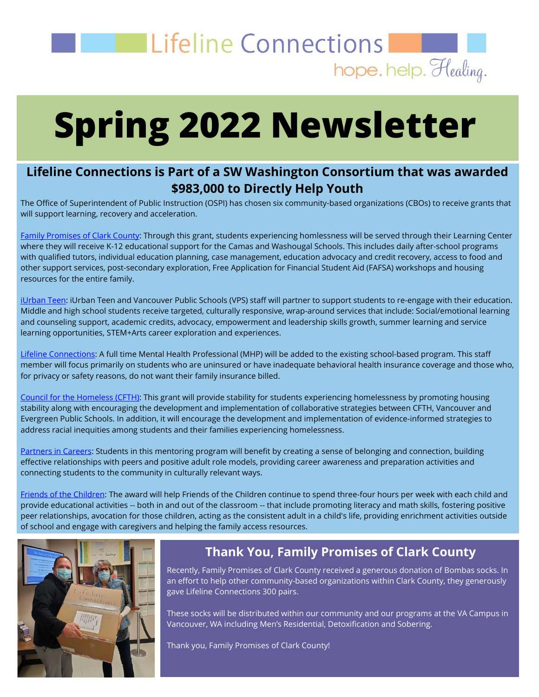

# **Spring 2022 Newsletter**

#### **Lifeline Connections is Part of a SW Washington Consortium that was awarded \$983,000 to Directly Help Youth**

The Office of Superintendent of Public Instruction (OSPI) has chosen six community-based organizations (CBOs) to receive grants that will support learning, recovery and acceleration.

[Family Promises](https://www.familypromiseofclarkco.org/) of Clark County: Through this grant, students experiencing homlessness will be served through their Learning Center where they will receive K-12 educational support for the Camas and Washougal Schools. This includes daily after-school programs with qualified tutors, individual education planning, case management, education advocacy and credit recovery, access to food and other support services, post-secondary exploration, Free Application for Financial Student Aid (FAFSA) workshops and housing resources for the entire family.

[iUrban Teen:](https://iurbanteen.org/) iUrban Teen and Vancouver Public Schools (VPS) staff will partner to support students to re-engage with their education. Middle and high school students receive targeted, culturally responsive, wrap-around services that include: Social/emotional learning and counseling support, academic credits, advocacy, empowerment and leadership skills growth, summer learning and service learning opportunities, STEM+Arts career exploration and experiences.

[Lifeline Connections:](https://lifelineconnections.org/) A full time Mental Health Professional (MHP) will be added to the existing school-based program. This staff member will focus primarily on students who are uninsured or have inadequate behavioral health insurance coverage and those who, for privacy or safety reasons, do not want their family insurance billed.

[Council for the Homeless](https://www.councilforthehomeless.org/) (CFTH): This grant will provide stability for students experiencing homelessness by promoting housing stability along with encouraging the development and implementation of collaborative strategies between CFTH, Vancouver and Evergreen Public Schools. In addition, it will encourage the development and implementation of evidence-informed strategies to address racial inequities among students and their families experiencing homelessness.

[Partners in Careers:](https://partnersincareers.org/) Students in this mentoring program will benefit by creating a sense of belonging and connection, building effective relationships with peers and positive adult role models, providing career awareness and preparation activities and connecting students to the community in culturally relevant ways.

[Friends of the Children:](https://friendsswwa.org/) The award will help Friends of the Children continue to spend three-four hours per week with each child and provide educational activities -- both in and out of the classroom -- that include promoting literacy and math skills, fostering positive peer relationships, avocation for those children, acting as the consistent adult in a child's life, providing enrichment activities outside of school and engage with caregivers and helping the family access resources.



#### **Thank You, Family Promises of Clark County**

Recently, Family Promises of Clark County received a generous donation of Bombas socks. In an effort to help other community-based organizations within Clark County, they generously gave Lifeline Connections 300 pairs.

These socks will be distributed within our community and our programs at the VA Campus in Vancouver, WA including Men's Residential, Detoxification and Sobering.

Thank you, Family Promises of Clark County!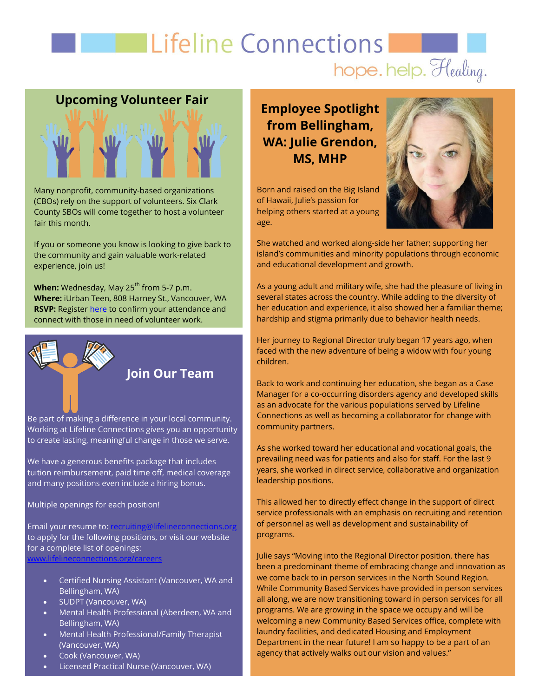## **Example 12 Excellent Connections** hope. help. Healing.

# **Upcoming Volunteer Fair Upcoming Volunteer Fair**

Many nonprofit, community-based organizations (CBOs) rely on the support of volunteers. Six Clark County SBOs will come together to host a volunteer fair this month.

If you or someone you know is looking to give back to the community and gain valuable work-related experience, join us!

**When:** Wednesday, May 25<sup>th</sup> from 5-7 p.m. **Where:** iUrban Teen, 808 Harney St., Vancouver, WA **RSVP:** Register [here](https://urldefense.proofpoint.com/v2/url?u=https-3A__www.familypromiseofclarkco.org_event-2Ddetails_volunteer-2Dfair&d=DwQFaQ&c=euGZstcaTDllvimEN8b7jXrwqOf-v5A_CdpgnVfiiMM&r=8Ohw826ec0ufhAfrro181NDzRw2CqvJyJp8xEQ4fSuY&m=abZWKN56lEzXwHaKL__lU20NYR63wygOV0AYTyjSVH0&s=DTKvx06ir5-Vi0J1a4pPjwYMomZ9LDiqxKKdBTVXKsk&e=) to confirm your attendance and connect with those in need of volunteer work.



Working at Lifeline Connections gives you an opportunity to create lasting, meaningful change in those we serve.

We have a generous benefits package that includes tuition reimbursement, paid time off, medical coverage and many positions even include a hiring bonus.

Multiple openings for each position!

Email your resume to: to apply for the following positions, or visit our website for a complete list of openings: [www.lifelineconnections.org/careers](http://www.lifelineconnections.org/careers)

- Certified Nursing Assistant (Vancouver, WA and Bellingham, WA)
- SUDPT (Vancouver, WA)
- Mental Health Professional (Aberdeen, WA and Bellingham, WA)
- Mental Health Professional/Family Therapist (Vancouver, WA)
- Cook (Vancouver, WA)
- Licensed Practical Nurse (Vancouver, WA)

**Employee Spotlight from Bellingham, WA: Julie Grendon, MS, MHP**

Born and raised on the Big Island of Hawaii, Julie's passion for helping others started at a young age.



She watched and worked along-side her father; supporting her island's communities and minority populations through economic and educational development and growth.

As a young adult and military wife, she had the pleasure of living in several states across the country. While adding to the diversity of her education and experience, it also showed her a familiar theme; hardship and stigma primarily due to behavior health needs.

Her journey to Regional Director truly began 17 years ago, when faced with the new adventure of being a widow with four young children.

Back to work and continuing her education, she began as a Case Manager for a co-occurring disorders agency and developed skills as an advocate for the various populations served by Lifeline Connections as well as becoming a collaborator for change with community partners.

As she worked toward her educational and vocational goals, the prevailing need was for patients and also for staff. For the last 9 years, she worked in direct service, collaborative and organization leadership positions.

This allowed her to directly effect change in the support of direct service professionals with an emphasis on recruiting and retention of personnel as well as development and sustainability of programs.

Julie says "Moving into the Regional Director position, there has been a predominant theme of embracing change and innovation as we come back to in person services in the North Sound Region. While Community Based Services have provided in person services all along, we are now transitioning toward in person services for all programs. We are growing in the space we occupy and will be welcoming a new Community Based Services office, complete with laundry facilities, and dedicated Housing and Employment Department in the near future! I am so happy to be a part of an agency that actively walks out our vision and values."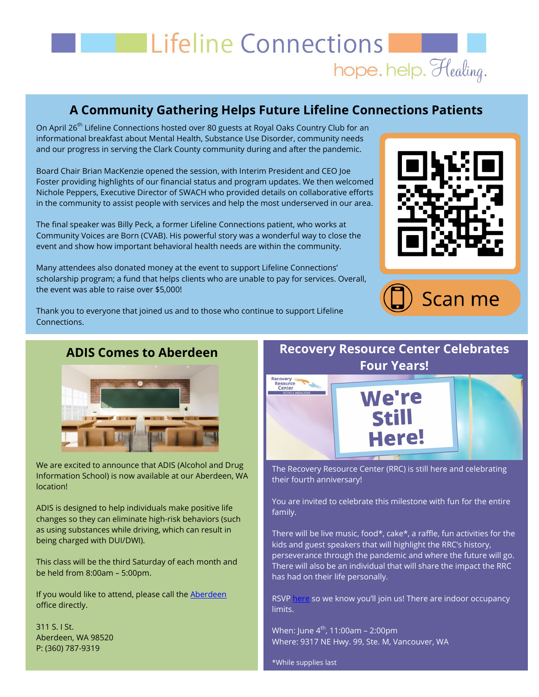## **Example 1 Expanding Connections** hope. help. Healing.

#### **A Community Gathering Helps Future Lifeline Connections Patients**

On April 26<sup>th</sup> Lifeline Connections hosted over 80 guests at Royal Oaks Country Club for an informational breakfast about Mental Health, Substance Use Disorder, community needs and our progress in serving the Clark County community during and after the pandemic.

Board Chair Brian MacKenzie opened the session, with Interim President and CEO Joe Foster providing highlights of our financial status and program updates. We then welcomed Nichole Peppers, Executive Director of SWACH who provided details on collaborative efforts in the community to assist people with services and help the most underserved in our area.

The final speaker was Billy Peck, a former Lifeline Connections patient, who works at Community Voices are Born (CVAB). His powerful story was a wonderful way to close the event and show how important behavioral health needs are within the community.

Many attendees also donated money at the event to support Lifeline Connections' scholarship program; a fund that helps clients who are unable to pay for services. Overall, the event was able to raise over \$5,000!





Thank you to everyone that joined us and to those who continue to support Lifeline Connections.

# **ADIS Comes to Aberdeen**



Information School) is now available at our Aberdeen, WA location!

ADIS is designed to help individuals make positive life changes so they can eliminate high-risk behaviors (such as using substances while driving, which can result in being charged with DUI/DWI).

This class will be the third Saturday of each month and be held from 8:00am – 5:00pm.

If you would like to attend, please call the [Aberdeen](https://lifelineconnections.org/locations/aberdeen-office/) office directly.

311 S. I St. Aberdeen, WA 98520 P: (360) 787-9319

#### **Recovery Resource Center Celebrates Four Years!**



The Recovery Resource Center (RRC) is still here and celebrating their fourth anniversary!

You are invited to celebrate this milestone with fun for the entire family.

There will be live music, food\*, cake\*, a raffle, fun activities for the kids and guest speakers that will highlight the RRC's history, perseverance through the pandemic and where the future will go. There will also be an individual that will share the impact the RRC has had on their life personally.

RSVP [here](https://lifelineconnections.org/recovery-resource-center-4th-anniversary/) so we know you'll join us! There are indoor occupancy limits.

When: June  $4^{th}$ , 11:00am - 2:00pm Where: 9317 NE Hwy. 99, Ste. M, Vancouver, WA

\*While supplies last